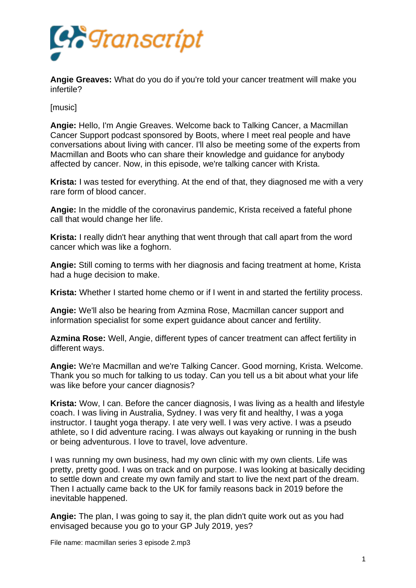

**Angie Greaves:** What do you do if you're told your cancer treatment will make you infertile?

[music]

**Angie:** Hello, I'm Angie Greaves. Welcome back to Talking Cancer, a Macmillan Cancer Support podcast sponsored by Boots, where I meet real people and have conversations about living with cancer. I'll also be meeting some of the experts from Macmillan and Boots who can share their knowledge and guidance for anybody affected by cancer. Now, in this episode, we're talking cancer with Krista.

**Krista:** I was tested for everything. At the end of that, they diagnosed me with a very rare form of blood cancer.

**Angie:** In the middle of the coronavirus pandemic, Krista received a fateful phone call that would change her life.

**Krista:** I really didn't hear anything that went through that call apart from the word cancer which was like a foghorn.

**Angie:** Still coming to terms with her diagnosis and facing treatment at home, Krista had a huge decision to make.

**Krista:** Whether I started home chemo or if I went in and started the fertility process.

**Angie:** We'll also be hearing from Azmina Rose, Macmillan cancer support and information specialist for some expert guidance about cancer and fertility.

**Azmina Rose:** Well, Angie, different types of cancer treatment can affect fertility in different ways.

**Angie:** We're Macmillan and we're Talking Cancer. Good morning, Krista. Welcome. Thank you so much for talking to us today. Can you tell us a bit about what your life was like before your cancer diagnosis?

**Krista:** Wow, I can. Before the cancer diagnosis, I was living as a health and lifestyle coach. I was living in Australia, Sydney. I was very fit and healthy, I was a yoga instructor. I taught yoga therapy. I ate very well. I was very active. I was a pseudo athlete, so I did adventure racing. I was always out kayaking or running in the bush or being adventurous. I love to travel, love adventure.

I was running my own business, had my own clinic with my own clients. Life was pretty, pretty good. I was on track and on purpose. I was looking at basically deciding to settle down and create my own family and start to live the next part of the dream. Then I actually came back to the UK for family reasons back in 2019 before the inevitable happened.

**Angie:** The plan, I was going to say it, the plan didn't quite work out as you had envisaged because you go to your GP July 2019, yes?

File name: macmillan series 3 episode 2.mp3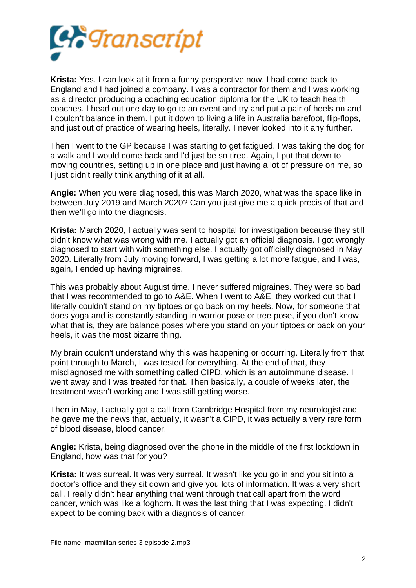

**Krista:** Yes. I can look at it from a funny perspective now. I had come back to England and I had joined a company. I was a contractor for them and I was working as a director producing a coaching education diploma for the UK to teach health coaches. I head out one day to go to an event and try and put a pair of heels on and I couldn't balance in them. I put it down to living a life in Australia barefoot, flip-flops, and just out of practice of wearing heels, literally. I never looked into it any further.

Then I went to the GP because I was starting to get fatigued. I was taking the dog for a walk and I would come back and I'd just be so tired. Again, I put that down to moving countries, setting up in one place and just having a lot of pressure on me, so I just didn't really think anything of it at all.

**Angie:** When you were diagnosed, this was March 2020, what was the space like in between July 2019 and March 2020? Can you just give me a quick precis of that and then we'll go into the diagnosis.

**Krista:** March 2020, I actually was sent to hospital for investigation because they still didn't know what was wrong with me. I actually got an official diagnosis. I got wrongly diagnosed to start with with something else. I actually got officially diagnosed in May 2020. Literally from July moving forward, I was getting a lot more fatigue, and I was, again, I ended up having migraines.

This was probably about August time. I never suffered migraines. They were so bad that I was recommended to go to A&E. When I went to A&E, they worked out that I literally couldn't stand on my tiptoes or go back on my heels. Now, for someone that does yoga and is constantly standing in warrior pose or tree pose, if you don't know what that is, they are balance poses where you stand on your tiptoes or back on your heels, it was the most bizarre thing.

My brain couldn't understand why this was happening or occurring. Literally from that point through to March, I was tested for everything. At the end of that, they misdiagnosed me with something called CIPD, which is an autoimmune disease. I went away and I was treated for that. Then basically, a couple of weeks later, the treatment wasn't working and I was still getting worse.

Then in May, I actually got a call from Cambridge Hospital from my neurologist and he gave me the news that, actually, it wasn't a CIPD, it was actually a very rare form of blood disease, blood cancer.

**Angie:** Krista, being diagnosed over the phone in the middle of the first lockdown in England, how was that for you?

**Krista:** It was surreal. It was very surreal. It wasn't like you go in and you sit into a doctor's office and they sit down and give you lots of information. It was a very short call. I really didn't hear anything that went through that call apart from the word cancer, which was like a foghorn. It was the last thing that I was expecting. I didn't expect to be coming back with a diagnosis of cancer.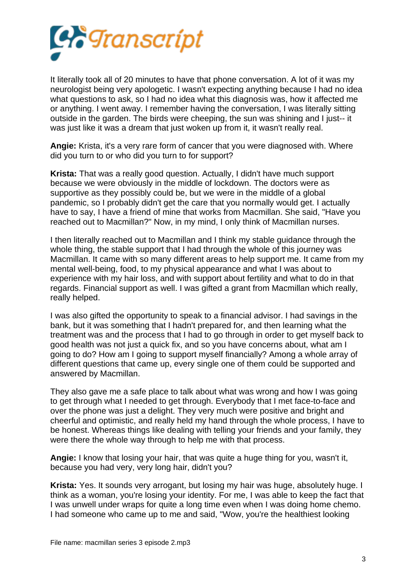

It literally took all of 20 minutes to have that phone conversation. A lot of it was my neurologist being very apologetic. I wasn't expecting anything because I had no idea what questions to ask, so I had no idea what this diagnosis was, how it affected me or anything. I went away. I remember having the conversation, I was literally sitting outside in the garden. The birds were cheeping, the sun was shining and I just-- it was just like it was a dream that just woken up from it, it wasn't really real.

**Angie:** Krista, it's a very rare form of cancer that you were diagnosed with. Where did you turn to or who did you turn to for support?

**Krista:** That was a really good question. Actually, I didn't have much support because we were obviously in the middle of lockdown. The doctors were as supportive as they possibly could be, but we were in the middle of a global pandemic, so I probably didn't get the care that you normally would get. I actually have to say, I have a friend of mine that works from Macmillan. She said, "Have you reached out to Macmillan?" Now, in my mind, I only think of Macmillan nurses.

I then literally reached out to Macmillan and I think my stable guidance through the whole thing, the stable support that I had through the whole of this journey was Macmillan. It came with so many different areas to help support me. It came from my mental well-being, food, to my physical appearance and what I was about to experience with my hair loss, and with support about fertility and what to do in that regards. Financial support as well. I was gifted a grant from Macmillan which really, really helped.

I was also gifted the opportunity to speak to a financial advisor. I had savings in the bank, but it was something that I hadn't prepared for, and then learning what the treatment was and the process that I had to go through in order to get myself back to good health was not just a quick fix, and so you have concerns about, what am I going to do? How am I going to support myself financially? Among a whole array of different questions that came up, every single one of them could be supported and answered by Macmillan.

They also gave me a safe place to talk about what was wrong and how I was going to get through what I needed to get through. Everybody that I met face-to-face and over the phone was just a delight. They very much were positive and bright and cheerful and optimistic, and really held my hand through the whole process, I have to be honest. Whereas things like dealing with telling your friends and your family, they were there the whole way through to help me with that process.

**Angie:** I know that losing your hair, that was quite a huge thing for you, wasn't it, because you had very, very long hair, didn't you?

**Krista:** Yes. It sounds very arrogant, but losing my hair was huge, absolutely huge. I think as a woman, you're losing your identity. For me, I was able to keep the fact that I was unwell under wraps for quite a long time even when I was doing home chemo. I had someone who came up to me and said, "Wow, you're the healthiest looking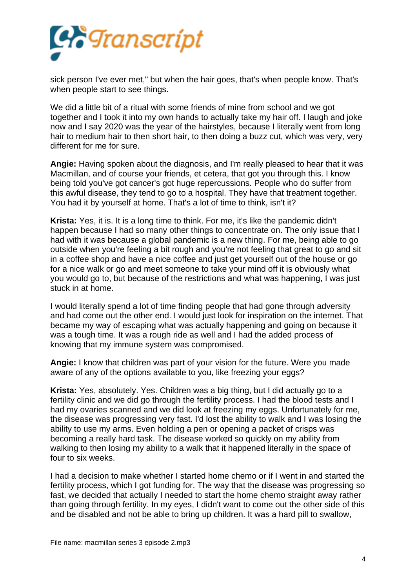

sick person I've ever met," but when the hair goes, that's when people know. That's when people start to see things.

We did a little bit of a ritual with some friends of mine from school and we got together and I took it into my own hands to actually take my hair off. I laugh and joke now and I say 2020 was the year of the hairstyles, because I literally went from long hair to medium hair to then short hair, to then doing a buzz cut, which was very, very different for me for sure.

**Angie:** Having spoken about the diagnosis, and I'm really pleased to hear that it was Macmillan, and of course your friends, et cetera, that got you through this. I know being told you've got cancer's got huge repercussions. People who do suffer from this awful disease, they tend to go to a hospital. They have that treatment together. You had it by yourself at home. That's a lot of time to think, isn't it?

**Krista:** Yes, it is. It is a long time to think. For me, it's like the pandemic didn't happen because I had so many other things to concentrate on. The only issue that I had with it was because a global pandemic is a new thing. For me, being able to go outside when you're feeling a bit rough and you're not feeling that great to go and sit in a coffee shop and have a nice coffee and just get yourself out of the house or go for a nice walk or go and meet someone to take your mind off it is obviously what you would go to, but because of the restrictions and what was happening, I was just stuck in at home.

I would literally spend a lot of time finding people that had gone through adversity and had come out the other end. I would just look for inspiration on the internet. That became my way of escaping what was actually happening and going on because it was a tough time. It was a rough ride as well and I had the added process of knowing that my immune system was compromised.

**Angie:** I know that children was part of your vision for the future. Were you made aware of any of the options available to you, like freezing your eggs?

**Krista:** Yes, absolutely. Yes. Children was a big thing, but I did actually go to a fertility clinic and we did go through the fertility process. I had the blood tests and I had my ovaries scanned and we did look at freezing my eggs. Unfortunately for me, the disease was progressing very fast. I'd lost the ability to walk and I was losing the ability to use my arms. Even holding a pen or opening a packet of crisps was becoming a really hard task. The disease worked so quickly on my ability from walking to then losing my ability to a walk that it happened literally in the space of four to six weeks.

I had a decision to make whether I started home chemo or if I went in and started the fertility process, which I got funding for. The way that the disease was progressing so fast, we decided that actually I needed to start the home chemo straight away rather than going through fertility. In my eyes, I didn't want to come out the other side of this and be disabled and not be able to bring up children. It was a hard pill to swallow,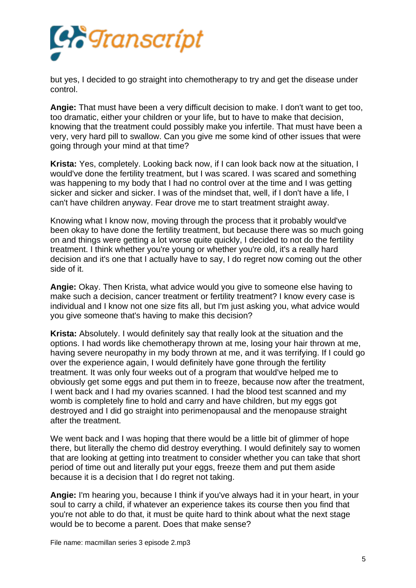

but yes, I decided to go straight into chemotherapy to try and get the disease under control.

**Angie:** That must have been a very difficult decision to make. I don't want to get too, too dramatic, either your children or your life, but to have to make that decision, knowing that the treatment could possibly make you infertile. That must have been a very, very hard pill to swallow. Can you give me some kind of other issues that were going through your mind at that time?

**Krista:** Yes, completely. Looking back now, if I can look back now at the situation, I would've done the fertility treatment, but I was scared. I was scared and something was happening to my body that I had no control over at the time and I was getting sicker and sicker and sicker. I was of the mindset that, well, if I don't have a life, I can't have children anyway. Fear drove me to start treatment straight away.

Knowing what I know now, moving through the process that it probably would've been okay to have done the fertility treatment, but because there was so much going on and things were getting a lot worse quite quickly, I decided to not do the fertility treatment. I think whether you're young or whether you're old, it's a really hard decision and it's one that I actually have to say, I do regret now coming out the other side of it.

**Angie:** Okay. Then Krista, what advice would you give to someone else having to make such a decision, cancer treatment or fertility treatment? I know every case is individual and I know not one size fits all, but I'm just asking you, what advice would you give someone that's having to make this decision?

**Krista:** Absolutely. I would definitely say that really look at the situation and the options. I had words like chemotherapy thrown at me, losing your hair thrown at me, having severe neuropathy in my body thrown at me, and it was terrifying. If I could go over the experience again, I would definitely have gone through the fertility treatment. It was only four weeks out of a program that would've helped me to obviously get some eggs and put them in to freeze, because now after the treatment, I went back and I had my ovaries scanned. I had the blood test scanned and my womb is completely fine to hold and carry and have children, but my eggs got destroyed and I did go straight into perimenopausal and the menopause straight after the treatment.

We went back and I was hoping that there would be a little bit of glimmer of hope there, but literally the chemo did destroy everything. I would definitely say to women that are looking at getting into treatment to consider whether you can take that short period of time out and literally put your eggs, freeze them and put them aside because it is a decision that I do regret not taking.

**Angie:** I'm hearing you, because I think if you've always had it in your heart, in your soul to carry a child, if whatever an experience takes its course then you find that you're not able to do that, it must be quite hard to think about what the next stage would be to become a parent. Does that make sense?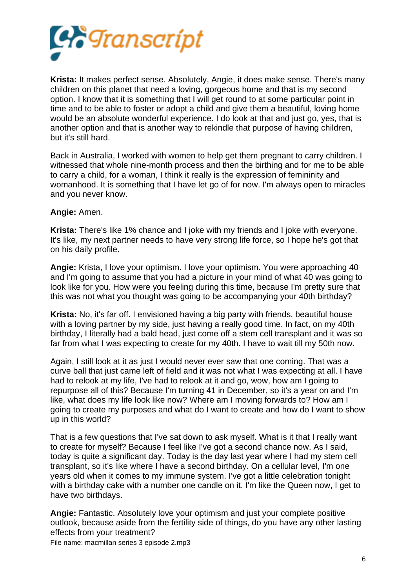

**Krista:** It makes perfect sense. Absolutely, Angie, it does make sense. There's many children on this planet that need a loving, gorgeous home and that is my second option. I know that it is something that I will get round to at some particular point in time and to be able to foster or adopt a child and give them a beautiful, loving home would be an absolute wonderful experience. I do look at that and just go, yes, that is another option and that is another way to rekindle that purpose of having children, but it's still hard.

Back in Australia, I worked with women to help get them pregnant to carry children. I witnessed that whole nine-month process and then the birthing and for me to be able to carry a child, for a woman, I think it really is the expression of femininity and womanhood. It is something that I have let go of for now. I'm always open to miracles and you never know.

## **Angie:** Amen.

**Krista:** There's like 1% chance and I joke with my friends and I joke with everyone. It's like, my next partner needs to have very strong life force, so I hope he's got that on his daily profile.

**Angie:** Krista, I love your optimism. I love your optimism. You were approaching 40 and I'm going to assume that you had a picture in your mind of what 40 was going to look like for you. How were you feeling during this time, because I'm pretty sure that this was not what you thought was going to be accompanying your 40th birthday?

**Krista:** No, it's far off. I envisioned having a big party with friends, beautiful house with a loving partner by my side, just having a really good time. In fact, on my 40th birthday, I literally had a bald head, just come off a stem cell transplant and it was so far from what I was expecting to create for my 40th. I have to wait till my 50th now.

Again, I still look at it as just I would never ever saw that one coming. That was a curve ball that just came left of field and it was not what I was expecting at all. I have had to relook at my life, I've had to relook at it and go, wow, how am I going to repurpose all of this? Because I'm turning 41 in December, so it's a year on and I'm like, what does my life look like now? Where am I moving forwards to? How am I going to create my purposes and what do I want to create and how do I want to show up in this world?

That is a few questions that I've sat down to ask myself. What is it that I really want to create for myself? Because I feel like I've got a second chance now. As I said, today is quite a significant day. Today is the day last year where I had my stem cell transplant, so it's like where I have a second birthday. On a cellular level, I'm one years old when it comes to my immune system. I've got a little celebration tonight with a birthday cake with a number one candle on it. I'm like the Queen now, I get to have two birthdays.

**Angie:** Fantastic. Absolutely love your optimism and just your complete positive outlook, because aside from the fertility side of things, do you have any other lasting effects from your treatment? File name: macmillan series 3 episode 2.mp3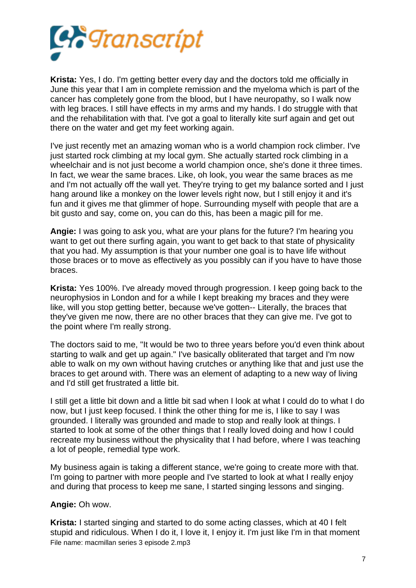

**Krista:** Yes, I do. I'm getting better every day and the doctors told me officially in June this year that I am in complete remission and the myeloma which is part of the cancer has completely gone from the blood, but I have neuropathy, so I walk now with leg braces. I still have effects in my arms and my hands. I do struggle with that and the rehabilitation with that. I've got a goal to literally kite surf again and get out there on the water and get my feet working again.

I've just recently met an amazing woman who is a world champion rock climber. I've just started rock climbing at my local gym. She actually started rock climbing in a wheelchair and is not just become a world champion once, she's done it three times. In fact, we wear the same braces. Like, oh look, you wear the same braces as me and I'm not actually off the wall yet. They're trying to get my balance sorted and I just hang around like a monkey on the lower levels right now, but I still enjoy it and it's fun and it gives me that glimmer of hope. Surrounding myself with people that are a bit gusto and say, come on, you can do this, has been a magic pill for me.

**Angie:** I was going to ask you, what are your plans for the future? I'm hearing you want to get out there surfing again, you want to get back to that state of physicality that you had. My assumption is that your number one goal is to have life without those braces or to move as effectively as you possibly can if you have to have those braces.

**Krista:** Yes 100%. I've already moved through progression. I keep going back to the neurophysios in London and for a while I kept breaking my braces and they were like, will you stop getting better, because we've gotten-- Literally, the braces that they've given me now, there are no other braces that they can give me. I've got to the point where I'm really strong.

The doctors said to me, "It would be two to three years before you'd even think about starting to walk and get up again." I've basically obliterated that target and I'm now able to walk on my own without having crutches or anything like that and just use the braces to get around with. There was an element of adapting to a new way of living and I'd still get frustrated a little bit.

I still get a little bit down and a little bit sad when I look at what I could do to what I do now, but I just keep focused. I think the other thing for me is, I like to say I was grounded. I literally was grounded and made to stop and really look at things. I started to look at some of the other things that I really loved doing and how I could recreate my business without the physicality that I had before, where I was teaching a lot of people, remedial type work.

My business again is taking a different stance, we're going to create more with that. I'm going to partner with more people and I've started to look at what I really enjoy and during that process to keep me sane, I started singing lessons and singing.

## **Angie:** Oh wow.

**Krista:** I started singing and started to do some acting classes, which at 40 I felt stupid and ridiculous. When I do it, I love it, I enjoy it. I'm just like I'm in that moment File name: macmillan series 3 episode 2.mp3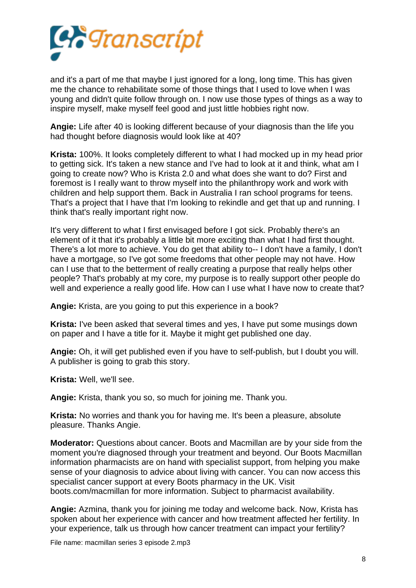

and it's a part of me that maybe I just ignored for a long, long time. This has given me the chance to rehabilitate some of those things that I used to love when I was young and didn't quite follow through on. I now use those types of things as a way to inspire myself, make myself feel good and just little hobbies right now.

**Angie:** Life after 40 is looking different because of your diagnosis than the life you had thought before diagnosis would look like at 40?

**Krista:** 100%. It looks completely different to what I had mocked up in my head prior to getting sick. It's taken a new stance and I've had to look at it and think, what am I going to create now? Who is Krista 2.0 and what does she want to do? First and foremost is I really want to throw myself into the philanthropy work and work with children and help support them. Back in Australia I ran school programs for teens. That's a project that I have that I'm looking to rekindle and get that up and running. I think that's really important right now.

It's very different to what I first envisaged before I got sick. Probably there's an element of it that it's probably a little bit more exciting than what I had first thought. There's a lot more to achieve. You do get that ability to-- I don't have a family, I don't have a mortgage, so I've got some freedoms that other people may not have. How can I use that to the betterment of really creating a purpose that really helps other people? That's probably at my core, my purpose is to really support other people do well and experience a really good life. How can I use what I have now to create that?

**Angie:** Krista, are you going to put this experience in a book?

**Krista:** I've been asked that several times and yes, I have put some musings down on paper and I have a title for it. Maybe it might get published one day.

**Angie:** Oh, it will get published even if you have to self-publish, but I doubt you will. A publisher is going to grab this story.

**Krista:** Well, we'll see.

**Angie:** Krista, thank you so, so much for joining me. Thank you.

**Krista:** No worries and thank you for having me. It's been a pleasure, absolute pleasure. Thanks Angie.

**Moderator:** Questions about cancer. Boots and Macmillan are by your side from the moment you're diagnosed through your treatment and beyond. Our Boots Macmillan information pharmacists are on hand with specialist support, from helping you make sense of your diagnosis to advice about living with cancer. You can now access this specialist cancer support at every Boots pharmacy in the UK. Visit boots.com/macmillan for more information. Subject to pharmacist availability.

**Angie:** Azmina, thank you for joining me today and welcome back. Now, Krista has spoken about her experience with cancer and how treatment affected her fertility. In your experience, talk us through how cancer treatment can impact your fertility?

File name: macmillan series 3 episode 2.mp3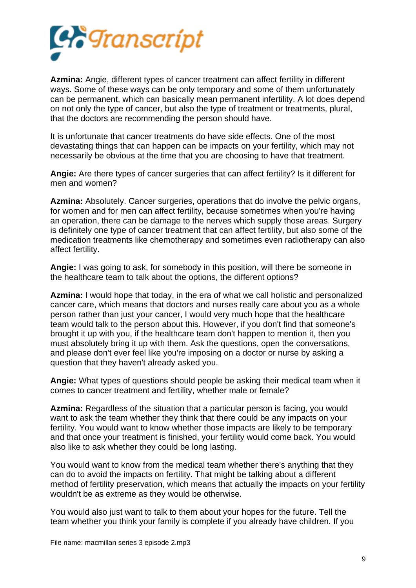

**Azmina:** Angie, different types of cancer treatment can affect fertility in different ways. Some of these ways can be only temporary and some of them unfortunately can be permanent, which can basically mean permanent infertility. A lot does depend on not only the type of cancer, but also the type of treatment or treatments, plural, that the doctors are recommending the person should have.

It is unfortunate that cancer treatments do have side effects. One of the most devastating things that can happen can be impacts on your fertility, which may not necessarily be obvious at the time that you are choosing to have that treatment.

**Angie:** Are there types of cancer surgeries that can affect fertility? Is it different for men and women?

**Azmina:** Absolutely. Cancer surgeries, operations that do involve the pelvic organs, for women and for men can affect fertility, because sometimes when you're having an operation, there can be damage to the nerves which supply those areas. Surgery is definitely one type of cancer treatment that can affect fertility, but also some of the medication treatments like chemotherapy and sometimes even radiotherapy can also affect fertility.

**Angie:** I was going to ask, for somebody in this position, will there be someone in the healthcare team to talk about the options, the different options?

**Azmina:** I would hope that today, in the era of what we call holistic and personalized cancer care, which means that doctors and nurses really care about you as a whole person rather than just your cancer, I would very much hope that the healthcare team would talk to the person about this. However, if you don't find that someone's brought it up with you, if the healthcare team don't happen to mention it, then you must absolutely bring it up with them. Ask the questions, open the conversations, and please don't ever feel like you're imposing on a doctor or nurse by asking a question that they haven't already asked you.

**Angie:** What types of questions should people be asking their medical team when it comes to cancer treatment and fertility, whether male or female?

**Azmina:** Regardless of the situation that a particular person is facing, you would want to ask the team whether they think that there could be any impacts on your fertility. You would want to know whether those impacts are likely to be temporary and that once your treatment is finished, your fertility would come back. You would also like to ask whether they could be long lasting.

You would want to know from the medical team whether there's anything that they can do to avoid the impacts on fertility. That might be talking about a different method of fertility preservation, which means that actually the impacts on your fertility wouldn't be as extreme as they would be otherwise.

You would also just want to talk to them about your hopes for the future. Tell the team whether you think your family is complete if you already have children. If you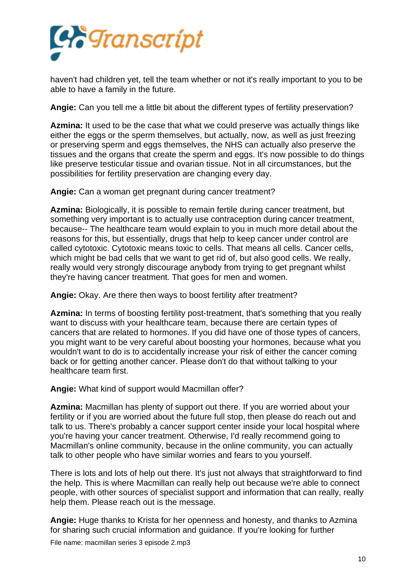

haven't had children yet, tell the team whether or not it's really important to you to be able to have a family in the future.

**Angie:** Can you tell me a little bit about the different types of fertility preservation?

**Azmina:** It used to be the case that what we could preserve was actually things like either the eggs or the sperm themselves, but actually, now, as well as just freezing or preserving sperm and eggs themselves, the NHS can actually also preserve the tissues and the organs that create the sperm and eggs. It's now possible to do things like preserve testicular tissue and ovarian tissue. Not in all circumstances, but the possibilities for fertility preservation are changing every day.

**Angie:** Can a woman get pregnant during cancer treatment?

**Azmina:** Biologically, it is possible to remain fertile during cancer treatment, but something very important is to actually use contraception during cancer treatment, because-- The healthcare team would explain to you in much more detail about the reasons for this, but essentially, drugs that help to keep cancer under control are called cytotoxic. Cytotoxic means toxic to cells. That means all cells. Cancer cells, which might be bad cells that we want to get rid of, but also good cells. We really, really would very strongly discourage anybody from trying to get pregnant whilst they're having cancer treatment. That goes for men and women.

**Angie:** Okay. Are there then ways to boost fertility after treatment?

**Azmina:** In terms of boosting fertility post-treatment, that's something that you really want to discuss with your healthcare team, because there are certain types of cancers that are related to hormones. If you did have one of those types of cancers, you might want to be very careful about boosting your hormones, because what you wouldn't want to do is to accidentally increase your risk of either the cancer coming back or for getting another cancer. Please don't do that without talking to your healthcare team first.

**Angie:** What kind of support would Macmillan offer?

**Azmina:** Macmillan has plenty of support out there. If you are worried about your fertility or if you are worried about the future full stop, then please do reach out and talk to us. There's probably a cancer support center inside your local hospital where you're having your cancer treatment. Otherwise, I'd really recommend going to Macmillan's online community, because in the online community, you can actually talk to other people who have similar worries and fears to you yourself.

There is lots and lots of help out there. It's just not always that straightforward to find the help. This is where Macmillan can really help out because we're able to connect people, with other sources of specialist support and information that can really, really help them. Please reach out is the message.

**Angie:** Huge thanks to Krista for her openness and honesty, and thanks to Azmina for sharing such crucial information and guidance. If you're looking for further

File name: macmillan series 3 episode 2.mp3